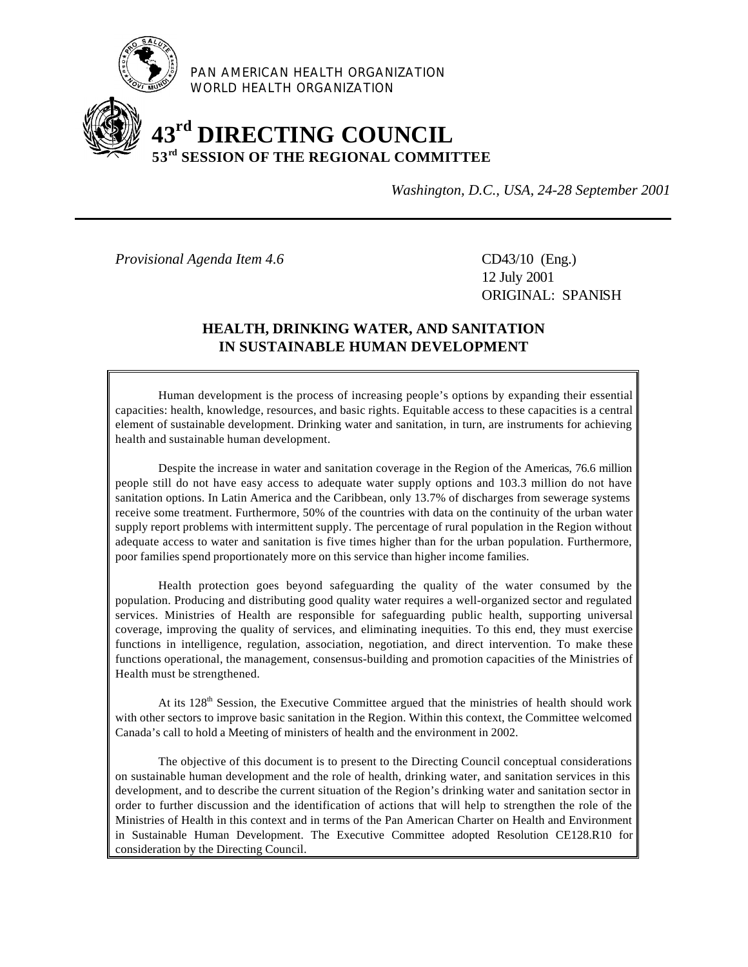

PAN AMERICAN HEALTH ORGANIZATION WORLD HEALTH ORGANIZATION

# **43rd DIRECTING COUNCIL 53rd SESSION OF THE REGIONAL COMMITTEE**

*Washington, D.C., USA, 24-28 September 2001*

*Provisional Agenda Item 4.6* CD43/10 (Eng.)

12 July 2001 ORIGINAL: SPANISH

## **HEALTH, DRINKING WATER, AND SANITATION IN SUSTAINABLE HUMAN DEVELOPMENT**

Human development is the process of increasing people's options by expanding their essential capacities: health, knowledge, resources, and basic rights. Equitable access to these capacities is a central element of sustainable development. Drinking water and sanitation, in turn, are instruments for achieving health and sustainable human development.

Despite the increase in water and sanitation coverage in the Region of the Americas, 76.6 million people still do not have easy access to adequate water supply options and 103.3 million do not have sanitation options. In Latin America and the Caribbean, only 13.7% of discharges from sewerage systems receive some treatment. Furthermore, 50% of the countries with data on the continuity of the urban water supply report problems with intermittent supply. The percentage of rural population in the Region without adequate access to water and sanitation is five times higher than for the urban population. Furthermore, poor families spend proportionately more on this service than higher income families.

Health protection goes beyond safeguarding the quality of the water consumed by the population. Producing and distributing good quality water requires a well-organized sector and regulated services. Ministries of Health are responsible for safeguarding public health, supporting universal coverage, improving the quality of services, and eliminating inequities. To this end, they must exercise functions in intelligence, regulation, association, negotiation, and direct intervention. To make these functions operational, the management, consensus-building and promotion capacities of the Ministries of Health must be strengthened.

At its 128<sup>th</sup> Session, the Executive Committee argued that the ministries of health should work with other sectors to improve basic sanitation in the Region. Within this context, the Committee welcomed Canada's call to hold a Meeting of ministers of health and the environment in 2002.

The objective of this document is to present to the Directing Council conceptual considerations on sustainable human development and the role of health, drinking water, and sanitation services in this development, and to describe the current situation of the Region's drinking water and sanitation sector in order to further discussion and the identification of actions that will help to strengthen the role of the Ministries of Health in this context and in terms of the Pan American Charter on Health and Environment in Sustainable Human Development. The Executive Committee adopted Resolution CE128.R10 for consideration by the Directing Council.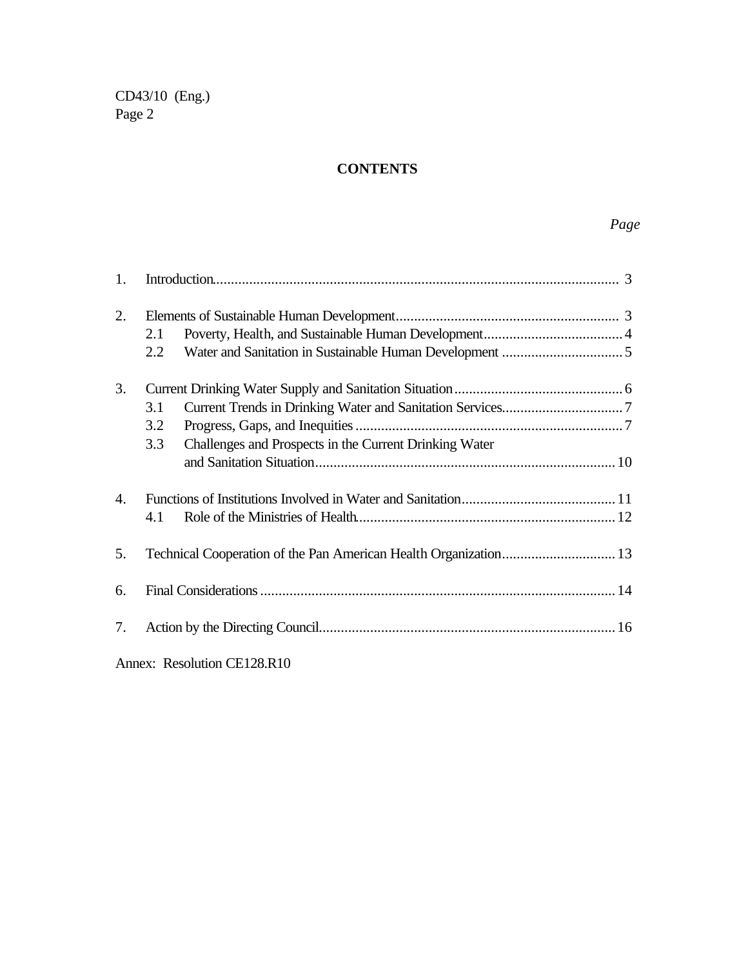# **CONTENTS**

# *Page*

| 1.                          |     |                                                        |  |  |  |  |
|-----------------------------|-----|--------------------------------------------------------|--|--|--|--|
| 2.                          |     |                                                        |  |  |  |  |
|                             | 2.1 |                                                        |  |  |  |  |
|                             | 2.2 |                                                        |  |  |  |  |
| 3.                          |     |                                                        |  |  |  |  |
|                             | 3.1 |                                                        |  |  |  |  |
|                             | 3.2 |                                                        |  |  |  |  |
|                             | 3.3 | Challenges and Prospects in the Current Drinking Water |  |  |  |  |
|                             |     |                                                        |  |  |  |  |
| $\mathbf{4}$ .              |     |                                                        |  |  |  |  |
|                             | 4.1 |                                                        |  |  |  |  |
| 5.                          |     |                                                        |  |  |  |  |
| 6.                          |     |                                                        |  |  |  |  |
| 7.                          |     |                                                        |  |  |  |  |
| Annex: Resolution CE128.R10 |     |                                                        |  |  |  |  |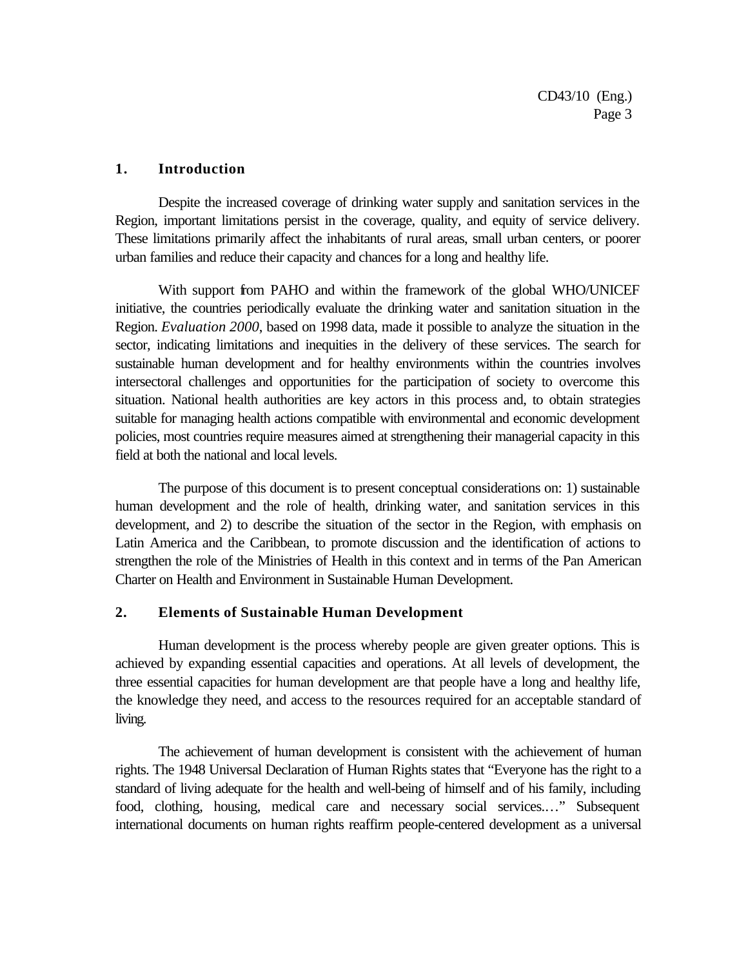#### **1. Introduction**

Despite the increased coverage of drinking water supply and sanitation services in the Region, important limitations persist in the coverage, quality, and equity of service delivery. These limitations primarily affect the inhabitants of rural areas, small urban centers, or poorer urban families and reduce their capacity and chances for a long and healthy life.

With support from PAHO and within the framework of the global WHO/UNICEF initiative, the countries periodically evaluate the drinking water and sanitation situation in the Region. *Evaluation 2000*, based on 1998 data, made it possible to analyze the situation in the sector, indicating limitations and inequities in the delivery of these services. The search for sustainable human development and for healthy environments within the countries involves intersectoral challenges and opportunities for the participation of society to overcome this situation. National health authorities are key actors in this process and, to obtain strategies suitable for managing health actions compatible with environmental and economic development policies, most countries require measures aimed at strengthening their managerial capacity in this field at both the national and local levels.

The purpose of this document is to present conceptual considerations on: 1) sustainable human development and the role of health, drinking water, and sanitation services in this development, and 2) to describe the situation of the sector in the Region, with emphasis on Latin America and the Caribbean, to promote discussion and the identification of actions to strengthen the role of the Ministries of Health in this context and in terms of the Pan American Charter on Health and Environment in Sustainable Human Development.

#### **2. Elements of Sustainable Human Development**

Human development is the process whereby people are given greater options. This is achieved by expanding essential capacities and operations. At all levels of development, the three essential capacities for human development are that people have a long and healthy life, the knowledge they need, and access to the resources required for an acceptable standard of living.

The achievement of human development is consistent with the achievement of human rights. The 1948 Universal Declaration of Human Rights states that "Everyone has the right to a standard of living adequate for the health and well-being of himself and of his family, including food, clothing, housing, medical care and necessary social services.…" Subsequent international documents on human rights reaffirm people-centered development as a universal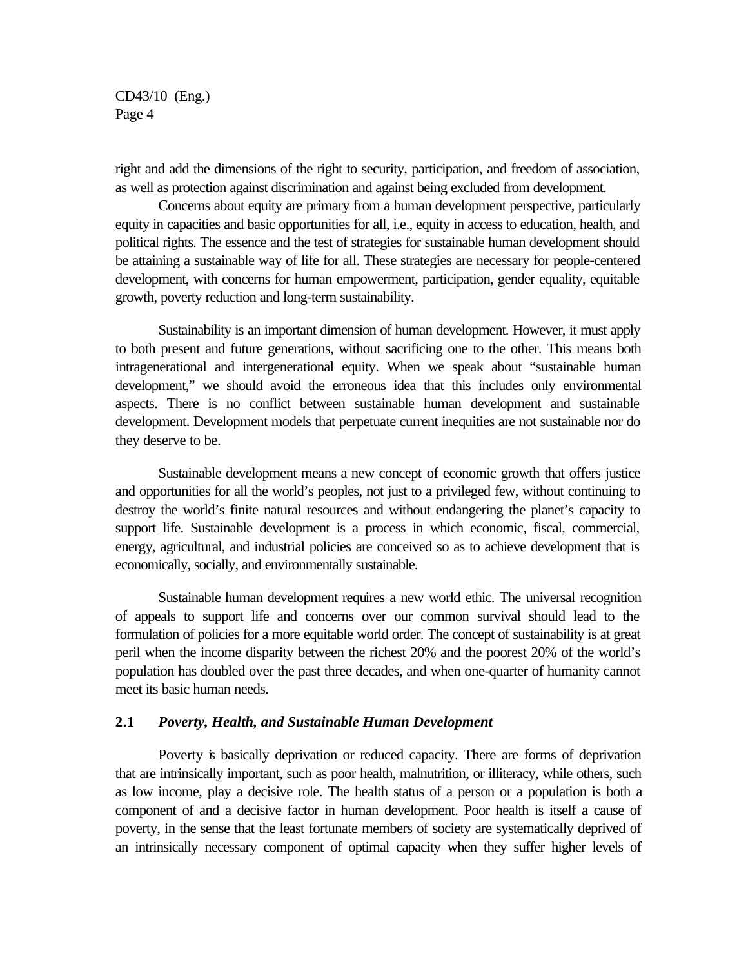right and add the dimensions of the right to security, participation, and freedom of association, as well as protection against discrimination and against being excluded from development.

Concerns about equity are primary from a human development perspective, particularly equity in capacities and basic opportunities for all, i.e., equity in access to education, health, and political rights. The essence and the test of strategies for sustainable human development should be attaining a sustainable way of life for all. These strategies are necessary for people-centered development, with concerns for human empowerment, participation, gender equality, equitable growth, poverty reduction and long-term sustainability.

Sustainability is an important dimension of human development. However, it must apply to both present and future generations, without sacrificing one to the other. This means both intragenerational and intergenerational equity. When we speak about "sustainable human development," we should avoid the erroneous idea that this includes only environmental aspects. There is no conflict between sustainable human development and sustainable development. Development models that perpetuate current inequities are not sustainable nor do they deserve to be.

Sustainable development means a new concept of economic growth that offers justice and opportunities for all the world's peoples, not just to a privileged few, without continuing to destroy the world's finite natural resources and without endangering the planet's capacity to support life. Sustainable development is a process in which economic, fiscal, commercial, energy, agricultural, and industrial policies are conceived so as to achieve development that is economically, socially, and environmentally sustainable.

Sustainable human development requires a new world ethic. The universal recognition of appeals to support life and concerns over our common survival should lead to the formulation of policies for a more equitable world order. The concept of sustainability is at great peril when the income disparity between the richest 20% and the poorest 20% of the world's population has doubled over the past three decades, and when one-quarter of humanity cannot meet its basic human needs.

#### **2.1** *Poverty, Health, and Sustainable Human Development*

Poverty is basically deprivation or reduced capacity. There are forms of deprivation that are intrinsically important, such as poor health, malnutrition, or illiteracy, while others, such as low income, play a decisive role. The health status of a person or a population is both a component of and a decisive factor in human development. Poor health is itself a cause of poverty, in the sense that the least fortunate members of society are systematically deprived of an intrinsically necessary component of optimal capacity when they suffer higher levels of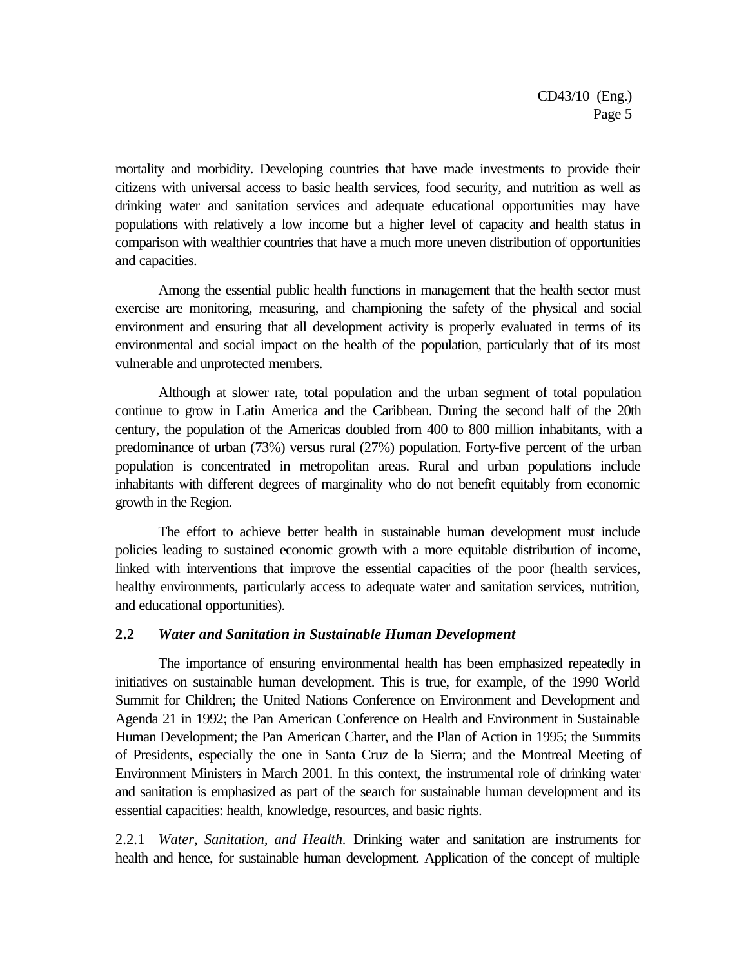mortality and morbidity. Developing countries that have made investments to provide their citizens with universal access to basic health services, food security, and nutrition as well as drinking water and sanitation services and adequate educational opportunities may have populations with relatively a low income but a higher level of capacity and health status in comparison with wealthier countries that have a much more uneven distribution of opportunities and capacities.

Among the essential public health functions in management that the health sector must exercise are monitoring, measuring, and championing the safety of the physical and social environment and ensuring that all development activity is properly evaluated in terms of its environmental and social impact on the health of the population, particularly that of its most vulnerable and unprotected members.

Although at slower rate, total population and the urban segment of total population continue to grow in Latin America and the Caribbean. During the second half of the 20th century, the population of the Americas doubled from 400 to 800 million inhabitants, with a predominance of urban (73%) versus rural (27%) population. Forty-five percent of the urban population is concentrated in metropolitan areas. Rural and urban populations include inhabitants with different degrees of marginality who do not benefit equitably from economic growth in the Region.

The effort to achieve better health in sustainable human development must include policies leading to sustained economic growth with a more equitable distribution of income, linked with interventions that improve the essential capacities of the poor (health services, healthy environments, particularly access to adequate water and sanitation services, nutrition, and educational opportunities).

#### **2.2** *Water and Sanitation in Sustainable Human Development*

The importance of ensuring environmental health has been emphasized repeatedly in initiatives on sustainable human development. This is true, for example, of the 1990 World Summit for Children; the United Nations Conference on Environment and Development and Agenda 21 in 1992; the Pan American Conference on Health and Environment in Sustainable Human Development; the Pan American Charter, and the Plan of Action in 1995; the Summits of Presidents, especially the one in Santa Cruz de la Sierra; and the Montreal Meeting of Environment Ministers in March 2001. In this context, the instrumental role of drinking water and sanitation is emphasized as part of the search for sustainable human development and its essential capacities: health, knowledge, resources, and basic rights.

2.2.1 *Water, Sanitation, and Health.* Drinking water and sanitation are instruments for health and hence, for sustainable human development. Application of the concept of multiple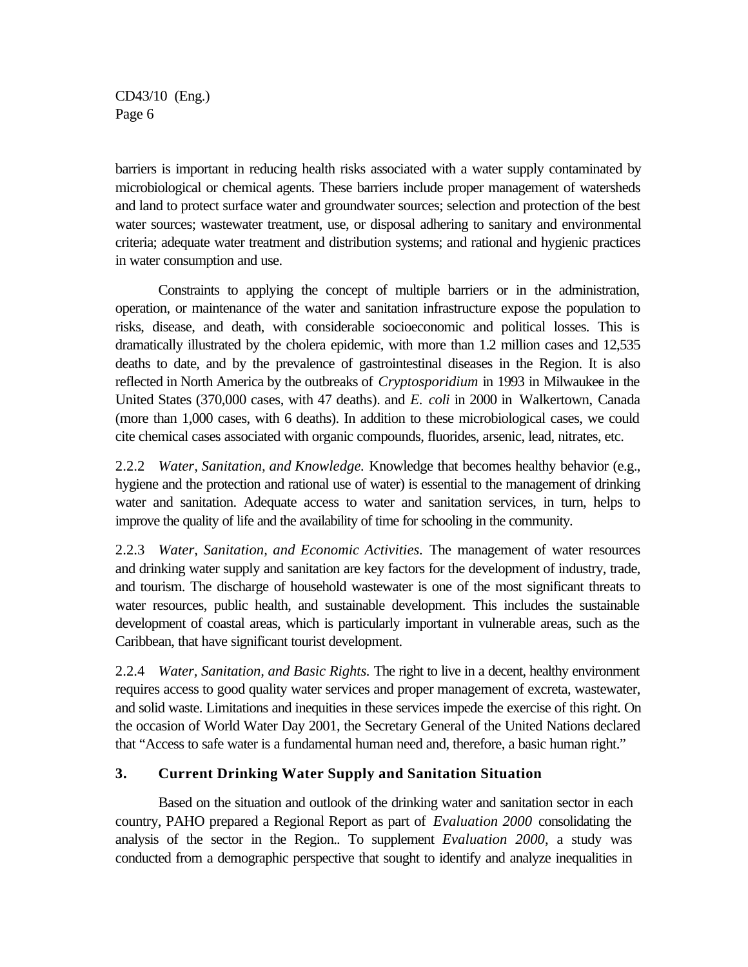barriers is important in reducing health risks associated with a water supply contaminated by microbiological or chemical agents. These barriers include proper management of watersheds and land to protect surface water and groundwater sources; selection and protection of the best water sources; wastewater treatment, use, or disposal adhering to sanitary and environmental criteria; adequate water treatment and distribution systems; and rational and hygienic practices in water consumption and use.

Constraints to applying the concept of multiple barriers or in the administration, operation, or maintenance of the water and sanitation infrastructure expose the population to risks, disease, and death, with considerable socioeconomic and political losses. This is dramatically illustrated by the cholera epidemic, with more than 1.2 million cases and 12,535 deaths to date, and by the prevalence of gastrointestinal diseases in the Region. It is also reflected in North America by the outbreaks of *Cryptosporidium* in 1993 in Milwaukee in the United States (370,000 cases, with 47 deaths). and *E. coli* in 2000 in Walkertown, Canada (more than 1,000 cases, with 6 deaths). In addition to these microbiological cases, we could cite chemical cases associated with organic compounds, fluorides, arsenic, lead, nitrates, etc.

2.2.2 *Water, Sanitation, and Knowledge.* Knowledge that becomes healthy behavior (e.g., hygiene and the protection and rational use of water) is essential to the management of drinking water and sanitation. Adequate access to water and sanitation services, in turn, helps to improve the quality of life and the availability of time for schooling in the community.

2.2.3 *Water, Sanitation, and Economic Activities.* The management of water resources and drinking water supply and sanitation are key factors for the development of industry, trade, and tourism. The discharge of household wastewater is one of the most significant threats to water resources, public health, and sustainable development. This includes the sustainable development of coastal areas, which is particularly important in vulnerable areas, such as the Caribbean, that have significant tourist development.

2.2.4 *Water, Sanitation, and Basic Rights.* The right to live in a decent, healthy environment requires access to good quality water services and proper management of excreta, wastewater, and solid waste. Limitations and inequities in these services impede the exercise of this right. On the occasion of World Water Day 2001, the Secretary General of the United Nations declared that "Access to safe water is a fundamental human need and, therefore, a basic human right."

## **3. Current Drinking Water Supply and Sanitation Situation**

Based on the situation and outlook of the drinking water and sanitation sector in each country, PAHO prepared a Regional Report as part of *Evaluation 2000* consolidating the analysis of the sector in the Region.. To supplement *Evaluation 2000*, a study was conducted from a demographic perspective that sought to identify and analyze inequalities in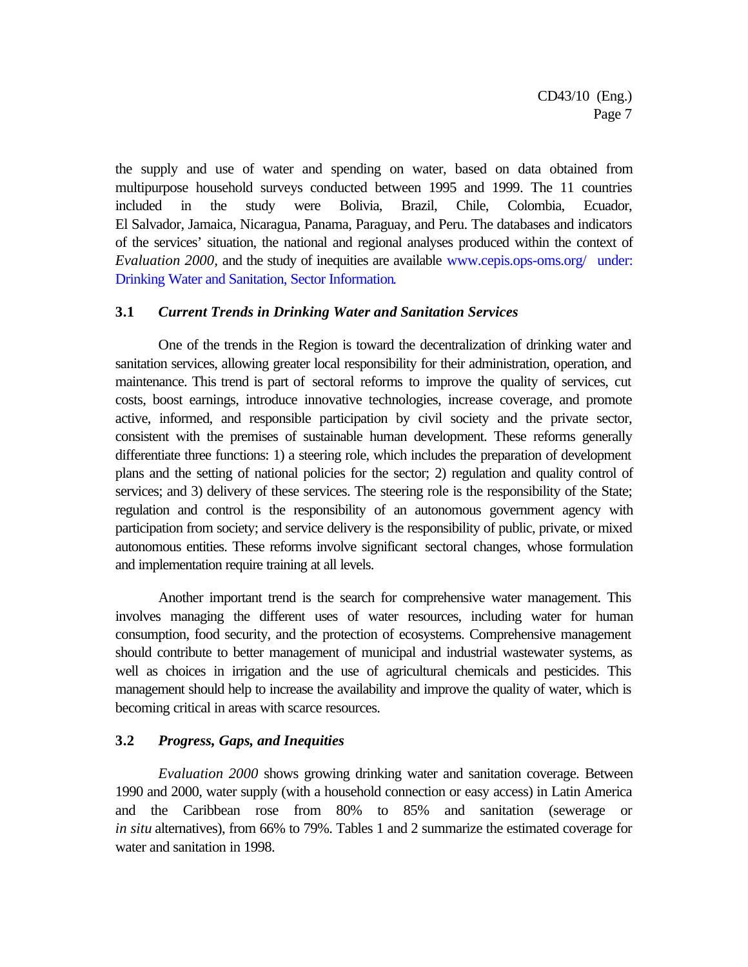the supply and use of water and spending on water, based on data obtained from multipurpose household surveys conducted between 1995 and 1999. The 11 countries included in the study were Bolivia, Brazil, Chile, Colombia, Ecuador, El Salvador, Jamaica, Nicaragua, Panama, Paraguay, and Peru. The databases and indicators of the services' situation, the national and regional analyses produced within the context of *Evaluation 2000,* and the study of inequities are available www.cepis.ops-oms.org/ under: Drinking Water and Sanitation, Sector Information.

#### **3.1** *Current Trends in Drinking Water and Sanitation Services*

One of the trends in the Region is toward the decentralization of drinking water and sanitation services, allowing greater local responsibility for their administration, operation, and maintenance. This trend is part of sectoral reforms to improve the quality of services, cut costs, boost earnings, introduce innovative technologies, increase coverage, and promote active, informed, and responsible participation by civil society and the private sector, consistent with the premises of sustainable human development. These reforms generally differentiate three functions: 1) a steering role, which includes the preparation of development plans and the setting of national policies for the sector; 2) regulation and quality control of services; and 3) delivery of these services. The steering role is the responsibility of the State; regulation and control is the responsibility of an autonomous government agency with participation from society; and service delivery is the responsibility of public, private, or mixed autonomous entities. These reforms involve significant sectoral changes, whose formulation and implementation require training at all levels.

Another important trend is the search for comprehensive water management. This involves managing the different uses of water resources, including water for human consumption, food security, and the protection of ecosystems. Comprehensive management should contribute to better management of municipal and industrial wastewater systems, as well as choices in irrigation and the use of agricultural chemicals and pesticides. This management should help to increase the availability and improve the quality of water, which is becoming critical in areas with scarce resources.

## **3.2** *Progress, Gaps, and Inequities*

*Evaluation 2000* shows growing drinking water and sanitation coverage. Between 1990 and 2000, water supply (with a household connection or easy access) in Latin America and the Caribbean rose from 80% to 85% and sanitation (sewerage or *in situ* alternatives), from 66% to 79%. Tables 1 and 2 summarize the estimated coverage for water and sanitation in 1998.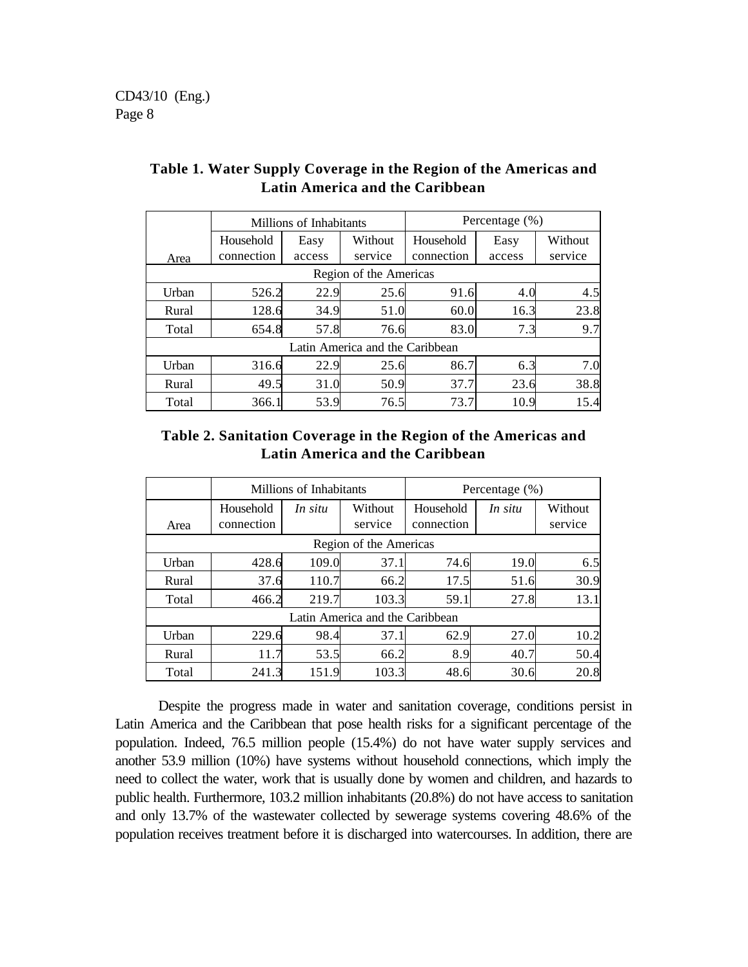|                                 | Millions of Inhabitants |        |         | Percentage $(\%)$ |        |         |  |  |  |
|---------------------------------|-------------------------|--------|---------|-------------------|--------|---------|--|--|--|
|                                 | Household               | Easy   | Without | Household         | Easy   | Without |  |  |  |
| Area                            | connection              | access | service | connection        | access | service |  |  |  |
| Region of the Americas          |                         |        |         |                   |        |         |  |  |  |
| Urban                           | 526.2                   | 22.9   | 25.6    | 91.6              | 4.0    | 4.5     |  |  |  |
| Rural                           | 128.6                   | 34.9   | 51.0    | 60.0              | 16.3   | 23.8    |  |  |  |
| Total                           | 654.8                   | 57.8   | 76.6    | 83.0              | 7.3    | 9.7     |  |  |  |
| Latin America and the Caribbean |                         |        |         |                   |        |         |  |  |  |
| Urban                           | 316.6                   | 22.9   | 25.6    | 86.7              | 6.3    | 7.0     |  |  |  |
| Rural                           | 49.5                    | 31.0   | 50.9    | 37.7              | 23.6   | 38.8    |  |  |  |
| Total                           | 366.1                   | 53.9   | 76.5    | 73.7              | 10.9   | 15.4    |  |  |  |

# **Table 1. Water Supply Coverage in the Region of the Americas and Latin America and the Caribbean**

# **Table 2. Sanitation Coverage in the Region of the Americas and Latin America and the Caribbean**

|                                 | Millions of Inhabitants |         |                    | Percentage $(\%)$       |         |                    |  |  |  |
|---------------------------------|-------------------------|---------|--------------------|-------------------------|---------|--------------------|--|--|--|
| Area                            | Household<br>connection | In situ | Without<br>service | Household<br>connection | In situ | Without<br>service |  |  |  |
| Region of the Americas          |                         |         |                    |                         |         |                    |  |  |  |
| Urban                           | 428.6                   | 109.0   | 37.1               | 74.6                    | 19.0    | 6.5                |  |  |  |
| Rural                           | 37.6                    | 110.7   | 66.2               | 17.5                    | 51.6    | 30.9               |  |  |  |
| Total                           | 466.2                   | 219.7   | 103.3              | 59.1                    | 27.8    | 13.1               |  |  |  |
| Latin America and the Caribbean |                         |         |                    |                         |         |                    |  |  |  |
| Urban                           | 229.6                   | 98.4    | 37.1               | 62.9                    | 27.0    | 10.2               |  |  |  |
| Rural                           | 11.7                    | 53.5    | 66.2               | 8.9                     | 40.7    | 50.4               |  |  |  |
| Total                           | 241.3                   | 151.9   | 103.3              | 48.6                    | 30.6    | 20.8               |  |  |  |

Despite the progress made in water and sanitation coverage, conditions persist in Latin America and the Caribbean that pose health risks for a significant percentage of the population. Indeed, 76.5 million people (15.4%) do not have water supply services and another 53.9 million (10%) have systems without household connections, which imply the need to collect the water, work that is usually done by women and children, and hazards to public health. Furthermore, 103.2 million inhabitants (20.8%) do not have access to sanitation and only 13.7% of the wastewater collected by sewerage systems covering 48.6% of the population receives treatment before it is discharged into watercourses. In addition, there are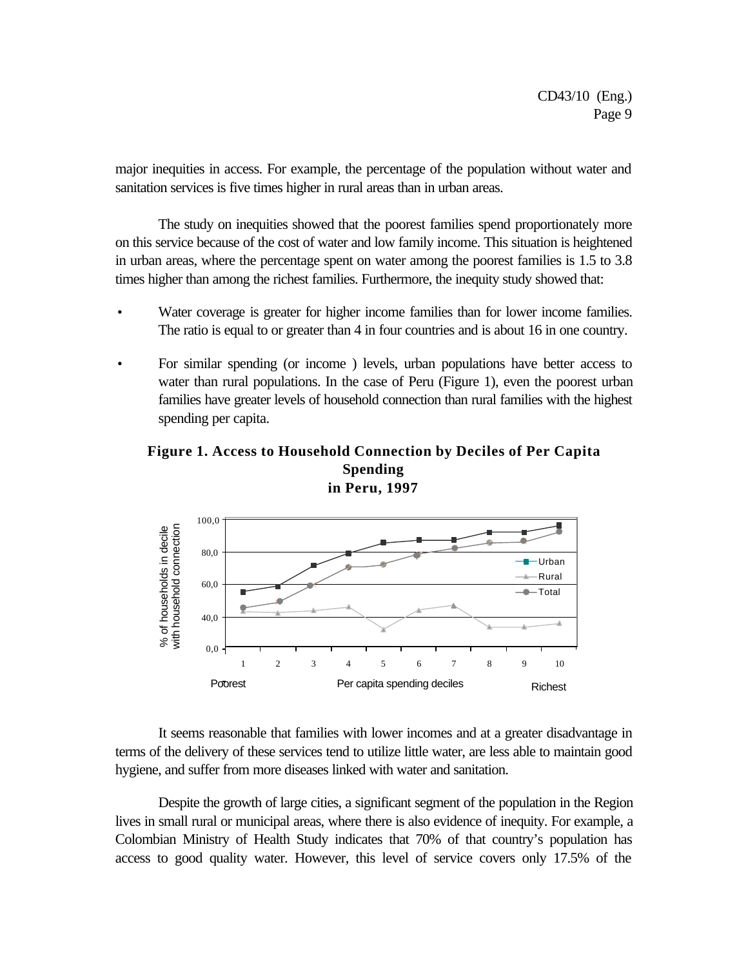major inequities in access. For example, the percentage of the population without water and sanitation services is five times higher in rural areas than in urban areas.

The study on inequities showed that the poorest families spend proportionately more on this service because of the cost of water and low family income. This situation is heightened in urban areas, where the percentage spent on water among the poorest families is 1.5 to 3.8 times higher than among the richest families. Furthermore, the inequity study showed that:

- Water coverage is greater for higher income families than for lower income families. The ratio is equal to or greater than 4 in four countries and is about 16 in one country.
- For similar spending (or income) levels, urban populations have better access to water than rural populations. In the case of Peru (Figure 1), even the poorest urban families have greater levels of household connection than rural families with the highest spending per capita.

### **Figure 1. Access to Household Connection by Deciles of Per Capita Spending in Peru, 1997**



It seems reasonable that families with lower incomes and at a greater disadvantage in terms of the delivery of these services tend to utilize little water, are less able to maintain good hygiene, and suffer from more diseases linked with water and sanitation.

Despite the growth of large cities, a significant segment of the population in the Region lives in small rural or municipal areas, where there is also evidence of inequity. For example, a Colombian Ministry of Health Study indicates that 70% of that country's population has access to good quality water. However, this level of service covers only 17.5% of the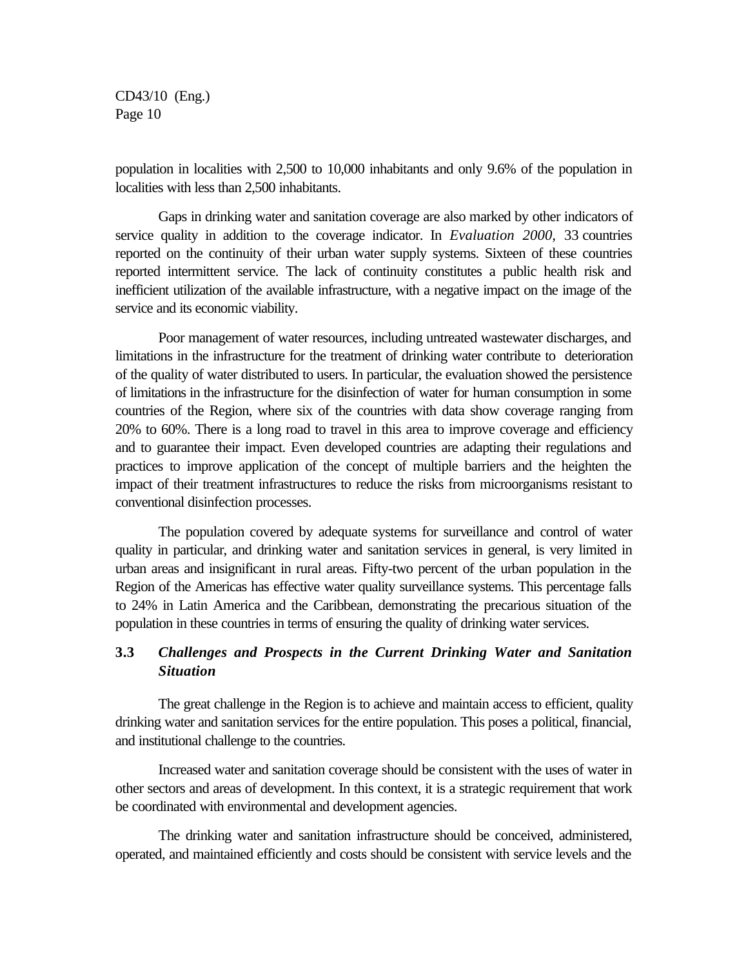population in localities with 2,500 to 10,000 inhabitants and only 9.6% of the population in localities with less than 2,500 inhabitants.

Gaps in drinking water and sanitation coverage are also marked by other indicators of service quality in addition to the coverage indicator. In *Evaluation 2000,* 33 countries reported on the continuity of their urban water supply systems. Sixteen of these countries reported intermittent service. The lack of continuity constitutes a public health risk and inefficient utilization of the available infrastructure, with a negative impact on the image of the service and its economic viability.

Poor management of water resources, including untreated wastewater discharges, and limitations in the infrastructure for the treatment of drinking water contribute to deterioration of the quality of water distributed to users. In particular, the evaluation showed the persistence of limitations in the infrastructure for the disinfection of water for human consumption in some countries of the Region, where six of the countries with data show coverage ranging from 20% to 60%. There is a long road to travel in this area to improve coverage and efficiency and to guarantee their impact. Even developed countries are adapting their regulations and practices to improve application of the concept of multiple barriers and the heighten the impact of their treatment infrastructures to reduce the risks from microorganisms resistant to conventional disinfection processes.

The population covered by adequate systems for surveillance and control of water quality in particular, and drinking water and sanitation services in general, is very limited in urban areas and insignificant in rural areas. Fifty-two percent of the urban population in the Region of the Americas has effective water quality surveillance systems. This percentage falls to 24% in Latin America and the Caribbean, demonstrating the precarious situation of the population in these countries in terms of ensuring the quality of drinking water services.

## **3.3** *Challenges and Prospects in the Current Drinking Water and Sanitation Situation*

The great challenge in the Region is to achieve and maintain access to efficient, quality drinking water and sanitation services for the entire population. This poses a political, financial, and institutional challenge to the countries.

Increased water and sanitation coverage should be consistent with the uses of water in other sectors and areas of development. In this context, it is a strategic requirement that work be coordinated with environmental and development agencies.

The drinking water and sanitation infrastructure should be conceived, administered, operated, and maintained efficiently and costs should be consistent with service levels and the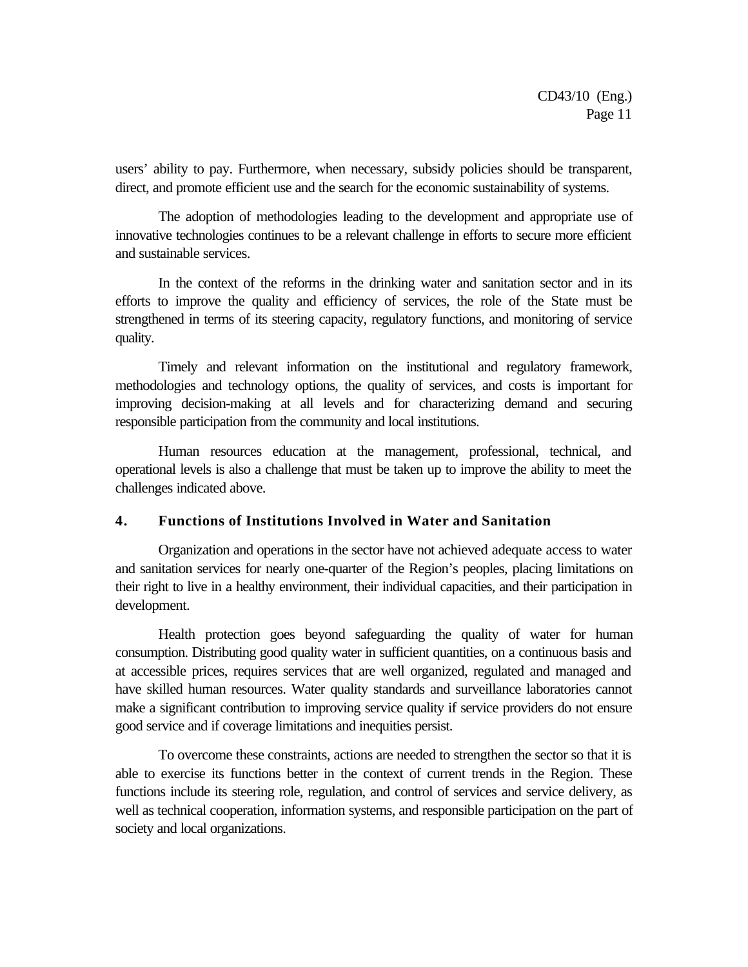users' ability to pay. Furthermore, when necessary, subsidy policies should be transparent, direct, and promote efficient use and the search for the economic sustainability of systems.

The adoption of methodologies leading to the development and appropriate use of innovative technologies continues to be a relevant challenge in efforts to secure more efficient and sustainable services.

In the context of the reforms in the drinking water and sanitation sector and in its efforts to improve the quality and efficiency of services, the role of the State must be strengthened in terms of its steering capacity, regulatory functions, and monitoring of service quality.

Timely and relevant information on the institutional and regulatory framework, methodologies and technology options, the quality of services, and costs is important for improving decision-making at all levels and for characterizing demand and securing responsible participation from the community and local institutions.

Human resources education at the management, professional, technical, and operational levels is also a challenge that must be taken up to improve the ability to meet the challenges indicated above.

#### **4. Functions of Institutions Involved in Water and Sanitation**

Organization and operations in the sector have not achieved adequate access to water and sanitation services for nearly one-quarter of the Region's peoples, placing limitations on their right to live in a healthy environment, their individual capacities, and their participation in development.

Health protection goes beyond safeguarding the quality of water for human consumption. Distributing good quality water in sufficient quantities, on a continuous basis and at accessible prices, requires services that are well organized, regulated and managed and have skilled human resources. Water quality standards and surveillance laboratories cannot make a significant contribution to improving service quality if service providers do not ensure good service and if coverage limitations and inequities persist.

To overcome these constraints, actions are needed to strengthen the sector so that it is able to exercise its functions better in the context of current trends in the Region. These functions include its steering role, regulation, and control of services and service delivery, as well as technical cooperation, information systems, and responsible participation on the part of society and local organizations.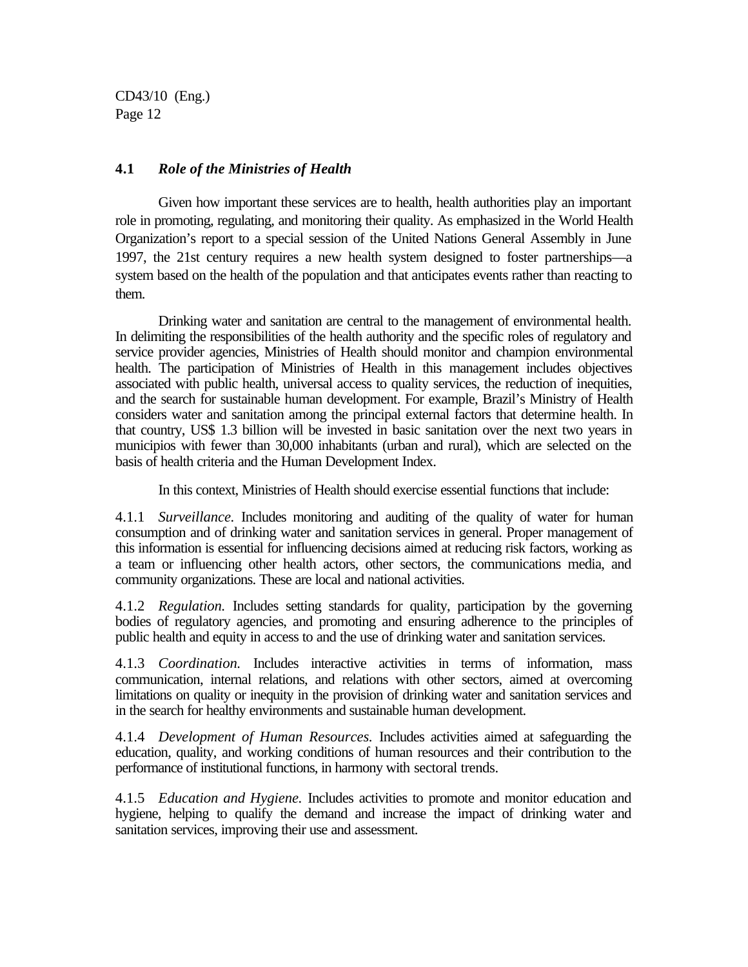#### **4.1** *Role of the Ministries of Health*

Given how important these services are to health, health authorities play an important role in promoting, regulating, and monitoring their quality. As emphasized in the World Health Organization's report to a special session of the United Nations General Assembly in June 1997, the 21st century requires a new health system designed to foster partnerships—a system based on the health of the population and that anticipates events rather than reacting to them.

Drinking water and sanitation are central to the management of environmental health. In delimiting the responsibilities of the health authority and the specific roles of regulatory and service provider agencies, Ministries of Health should monitor and champion environmental health. The participation of Ministries of Health in this management includes objectives associated with public health, universal access to quality services, the reduction of inequities, and the search for sustainable human development. For example, Brazil's Ministry of Health considers water and sanitation among the principal external factors that determine health. In that country, US\$ 1.3 billion will be invested in basic sanitation over the next two years in municipios with fewer than 30,000 inhabitants (urban and rural), which are selected on the basis of health criteria and the Human Development Index.

In this context, Ministries of Health should exercise essential functions that include:

4.1.1 *Surveillance.* Includes monitoring and auditing of the quality of water for human consumption and of drinking water and sanitation services in general. Proper management of this information is essential for influencing decisions aimed at reducing risk factors, working as a team or influencing other health actors, other sectors, the communications media, and community organizations. These are local and national activities.

4.1.2 *Regulation.* Includes setting standards for quality, participation by the governing bodies of regulatory agencies, and promoting and ensuring adherence to the principles of public health and equity in access to and the use of drinking water and sanitation services.

4.1.3 *Coordination.* Includes interactive activities in terms of information, mass communication, internal relations, and relations with other sectors, aimed at overcoming limitations on quality or inequity in the provision of drinking water and sanitation services and in the search for healthy environments and sustainable human development.

4.1.4 *Development of Human Resources.* Includes activities aimed at safeguarding the education, quality, and working conditions of human resources and their contribution to the performance of institutional functions, in harmony with sectoral trends.

4.1.5 *Education and Hygiene.* Includes activities to promote and monitor education and hygiene, helping to qualify the demand and increase the impact of drinking water and sanitation services, improving their use and assessment.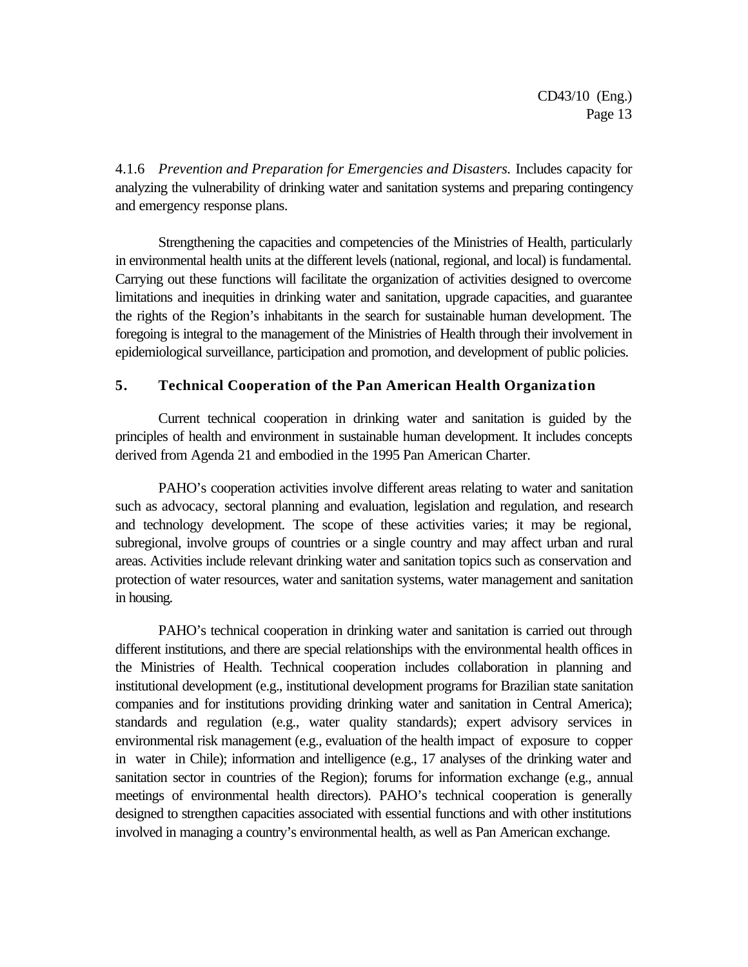4.1.6 *Prevention and Preparation for Emergencies and Disasters.* Includes capacity for analyzing the vulnerability of drinking water and sanitation systems and preparing contingency and emergency response plans.

Strengthening the capacities and competencies of the Ministries of Health, particularly in environmental health units at the different levels (national, regional, and local) is fundamental. Carrying out these functions will facilitate the organization of activities designed to overcome limitations and inequities in drinking water and sanitation, upgrade capacities, and guarantee the rights of the Region's inhabitants in the search for sustainable human development. The foregoing is integral to the management of the Ministries of Health through their involvement in epidemiological surveillance, participation and promotion, and development of public policies.

## **5. Technical Cooperation of the Pan American Health Organization**

Current technical cooperation in drinking water and sanitation is guided by the principles of health and environment in sustainable human development. It includes concepts derived from Agenda 21 and embodied in the 1995 Pan American Charter.

PAHO's cooperation activities involve different areas relating to water and sanitation such as advocacy, sectoral planning and evaluation, legislation and regulation, and research and technology development. The scope of these activities varies; it may be regional, subregional, involve groups of countries or a single country and may affect urban and rural areas. Activities include relevant drinking water and sanitation topics such as conservation and protection of water resources, water and sanitation systems, water management and sanitation in housing.

PAHO's technical cooperation in drinking water and sanitation is carried out through different institutions, and there are special relationships with the environmental health offices in the Ministries of Health. Technical cooperation includes collaboration in planning and institutional development (e.g., institutional development programs for Brazilian state sanitation companies and for institutions providing drinking water and sanitation in Central America); standards and regulation (e.g., water quality standards); expert advisory services in environmental risk management (e.g., evaluation of the health impact of exposure to copper in water in Chile); information and intelligence (e.g., 17 analyses of the drinking water and sanitation sector in countries of the Region); forums for information exchange (e.g., annual meetings of environmental health directors). PAHO's technical cooperation is generally designed to strengthen capacities associated with essential functions and with other institutions involved in managing a country's environmental health, as well as Pan American exchange.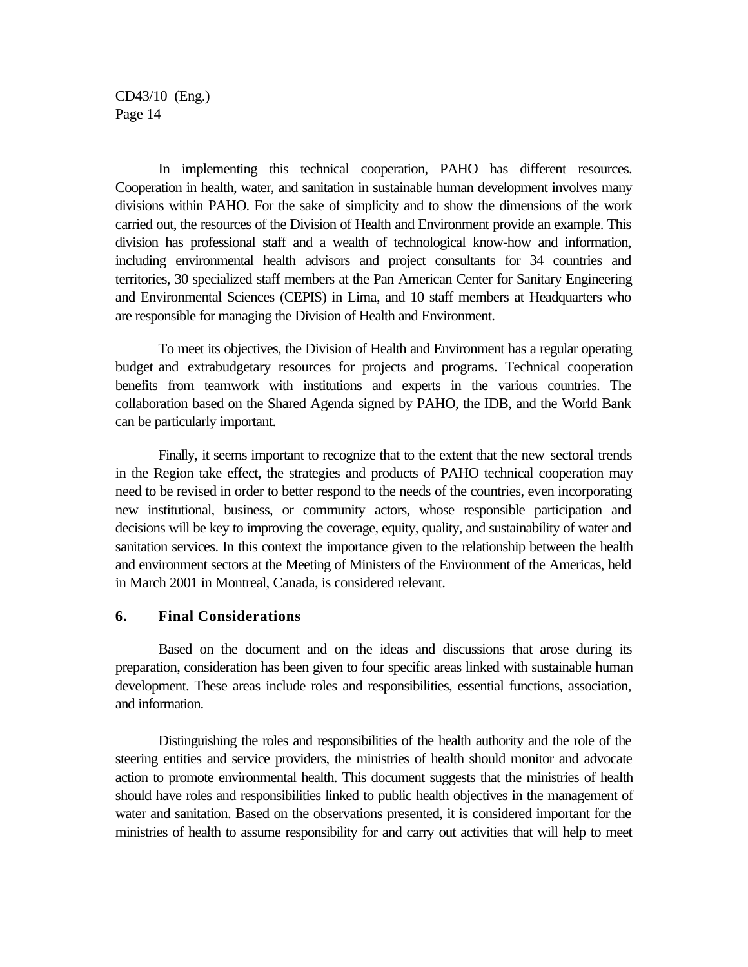In implementing this technical cooperation, PAHO has different resources. Cooperation in health, water, and sanitation in sustainable human development involves many divisions within PAHO. For the sake of simplicity and to show the dimensions of the work carried out, the resources of the Division of Health and Environment provide an example. This division has professional staff and a wealth of technological know-how and information, including environmental health advisors and project consultants for 34 countries and territories, 30 specialized staff members at the Pan American Center for Sanitary Engineering and Environmental Sciences (CEPIS) in Lima, and 10 staff members at Headquarters who are responsible for managing the Division of Health and Environment.

To meet its objectives, the Division of Health and Environment has a regular operating budget and extrabudgetary resources for projects and programs. Technical cooperation benefits from teamwork with institutions and experts in the various countries. The collaboration based on the Shared Agenda signed by PAHO, the IDB, and the World Bank can be particularly important.

Finally, it seems important to recognize that to the extent that the new sectoral trends in the Region take effect, the strategies and products of PAHO technical cooperation may need to be revised in order to better respond to the needs of the countries, even incorporating new institutional, business, or community actors, whose responsible participation and decisions will be key to improving the coverage, equity, quality, and sustainability of water and sanitation services. In this context the importance given to the relationship between the health and environment sectors at the Meeting of Ministers of the Environment of the Americas, held in March 2001 in Montreal, Canada, is considered relevant.

#### **6. Final Considerations**

Based on the document and on the ideas and discussions that arose during its preparation, consideration has been given to four specific areas linked with sustainable human development. These areas include roles and responsibilities, essential functions, association, and information.

Distinguishing the roles and responsibilities of the health authority and the role of the steering entities and service providers, the ministries of health should monitor and advocate action to promote environmental health. This document suggests that the ministries of health should have roles and responsibilities linked to public health objectives in the management of water and sanitation. Based on the observations presented, it is considered important for the ministries of health to assume responsibility for and carry out activities that will help to meet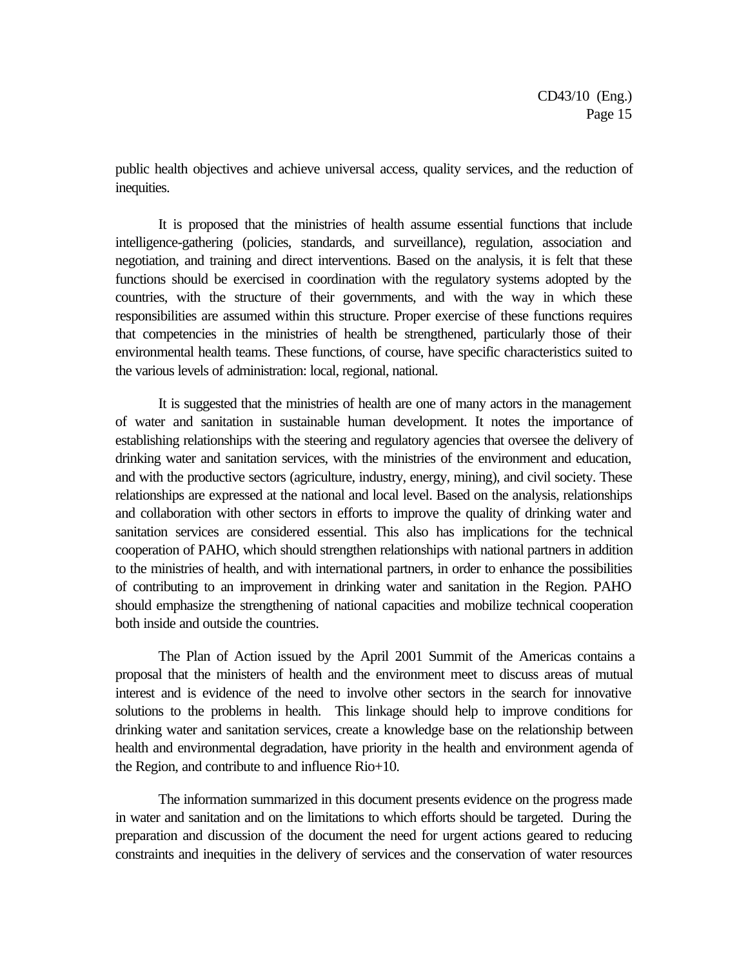public health objectives and achieve universal access, quality services, and the reduction of inequities.

It is proposed that the ministries of health assume essential functions that include intelligence-gathering (policies, standards, and surveillance), regulation, association and negotiation, and training and direct interventions. Based on the analysis, it is felt that these functions should be exercised in coordination with the regulatory systems adopted by the countries, with the structure of their governments, and with the way in which these responsibilities are assumed within this structure. Proper exercise of these functions requires that competencies in the ministries of health be strengthened, particularly those of their environmental health teams. These functions, of course, have specific characteristics suited to the various levels of administration: local, regional, national.

It is suggested that the ministries of health are one of many actors in the management of water and sanitation in sustainable human development. It notes the importance of establishing relationships with the steering and regulatory agencies that oversee the delivery of drinking water and sanitation services, with the ministries of the environment and education, and with the productive sectors (agriculture, industry, energy, mining), and civil society. These relationships are expressed at the national and local level. Based on the analysis, relationships and collaboration with other sectors in efforts to improve the quality of drinking water and sanitation services are considered essential. This also has implications for the technical cooperation of PAHO, which should strengthen relationships with national partners in addition to the ministries of health, and with international partners, in order to enhance the possibilities of contributing to an improvement in drinking water and sanitation in the Region. PAHO should emphasize the strengthening of national capacities and mobilize technical cooperation both inside and outside the countries.

The Plan of Action issued by the April 2001 Summit of the Americas contains a proposal that the ministers of health and the environment meet to discuss areas of mutual interest and is evidence of the need to involve other sectors in the search for innovative solutions to the problems in health. This linkage should help to improve conditions for drinking water and sanitation services, create a knowledge base on the relationship between health and environmental degradation, have priority in the health and environment agenda of the Region, and contribute to and influence Rio+10.

The information summarized in this document presents evidence on the progress made in water and sanitation and on the limitations to which efforts should be targeted. During the preparation and discussion of the document the need for urgent actions geared to reducing constraints and inequities in the delivery of services and the conservation of water resources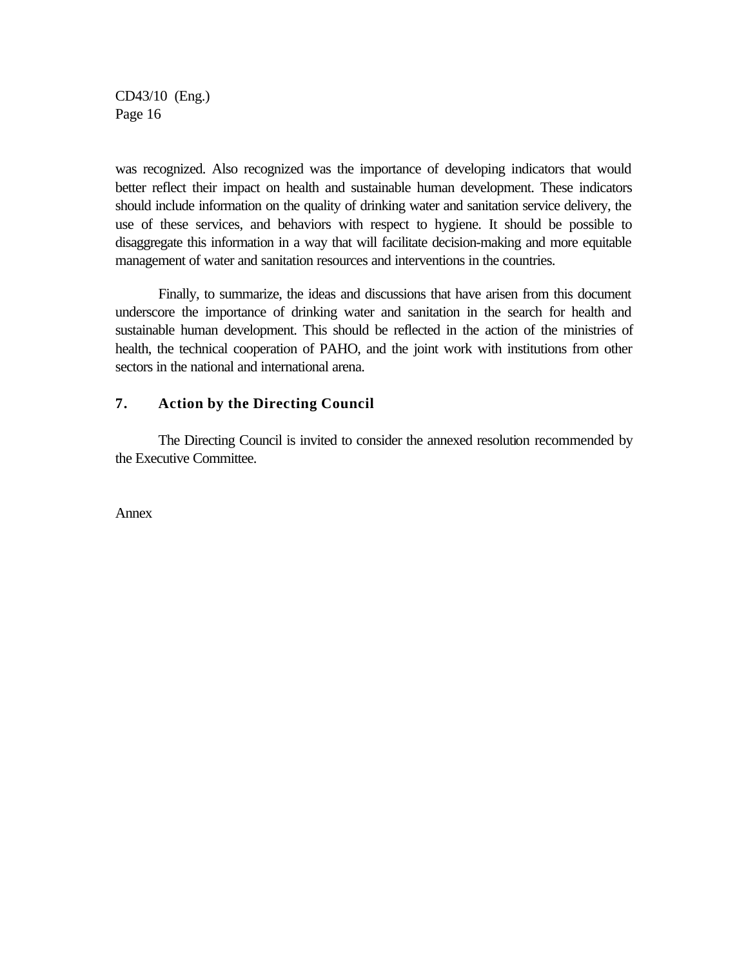was recognized. Also recognized was the importance of developing indicators that would better reflect their impact on health and sustainable human development. These indicators should include information on the quality of drinking water and sanitation service delivery, the use of these services, and behaviors with respect to hygiene. It should be possible to disaggregate this information in a way that will facilitate decision-making and more equitable management of water and sanitation resources and interventions in the countries.

Finally, to summarize, the ideas and discussions that have arisen from this document underscore the importance of drinking water and sanitation in the search for health and sustainable human development. This should be reflected in the action of the ministries of health, the technical cooperation of PAHO, and the joint work with institutions from other sectors in the national and international arena.

#### **7. Action by the Directing Council**

The Directing Council is invited to consider the annexed resolution recommended by the Executive Committee.

Annex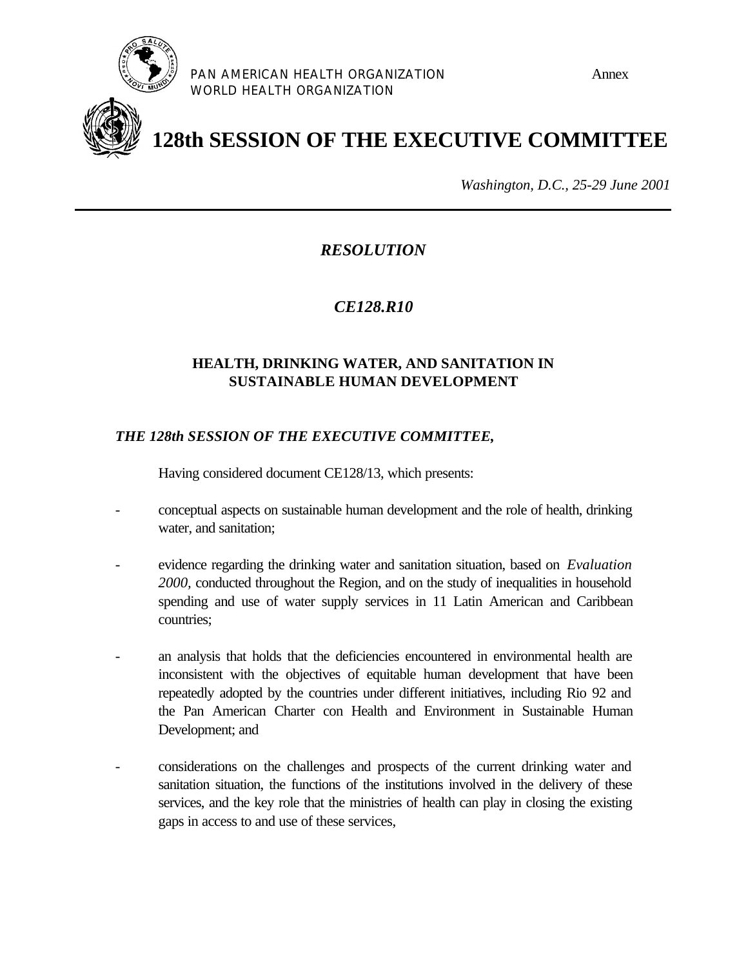

PAN AMERICAN HEALTH ORGANIZATION **FRAUMANT ANNUS** WORLD HEALTH ORGANIZATION



**128th SESSION OF THE EXECUTIVE COMMITTEE**

*Washington, D.C., 25-29 June 2001*

*RESOLUTION*

*CE128.R10*

# **HEALTH, DRINKING WATER, AND SANITATION IN SUSTAINABLE HUMAN DEVELOPMENT**

# *THE 128th SESSION OF THE EXECUTIVE COMMITTEE,*

Having considered document CE128/13, which presents:

- conceptual aspects on sustainable human development and the role of health, drinking water, and sanitation;
- evidence regarding the drinking water and sanitation situation, based on *Evaluation 2000,* conducted throughout the Region, and on the study of inequalities in household spending and use of water supply services in 11 Latin American and Caribbean countries;
- an analysis that holds that the deficiencies encountered in environmental health are inconsistent with the objectives of equitable human development that have been repeatedly adopted by the countries under different initiatives, including Rio 92 and the Pan American Charter con Health and Environment in Sustainable Human Development; and
- considerations on the challenges and prospects of the current drinking water and sanitation situation, the functions of the institutions involved in the delivery of these services, and the key role that the ministries of health can play in closing the existing gaps in access to and use of these services,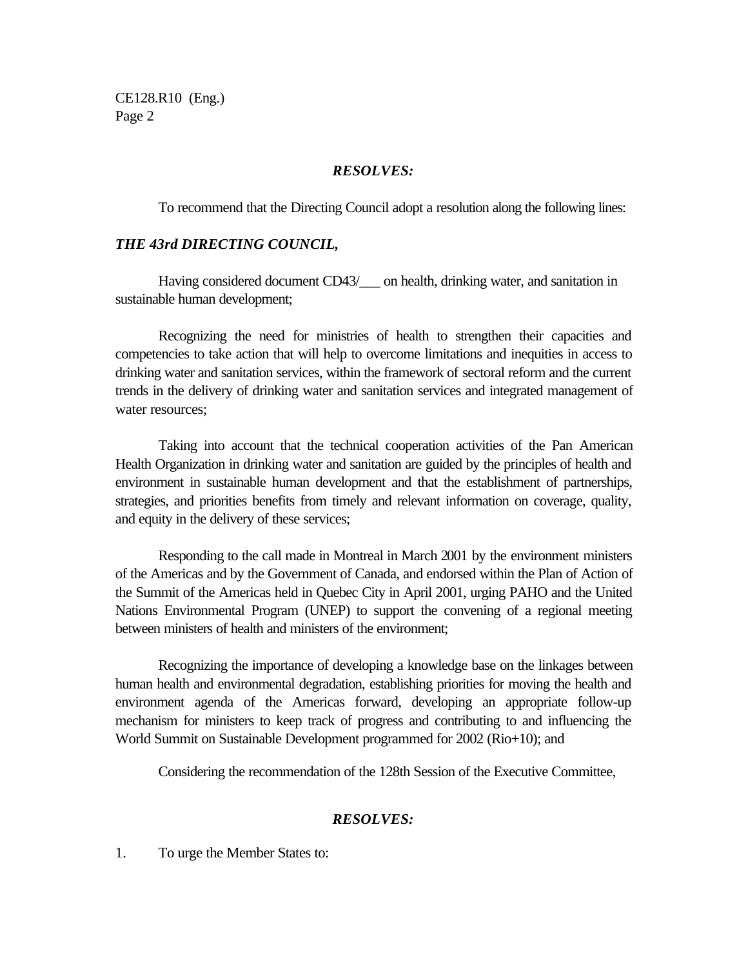CE128.R10 (Eng.) Page 2

#### *RESOLVES:*

To recommend that the Directing Council adopt a resolution along the following lines:

#### *THE 43rd DIRECTING COUNCIL,*

Having considered document CD43/\_\_\_ on health, drinking water, and sanitation in sustainable human development;

Recognizing the need for ministries of health to strengthen their capacities and competencies to take action that will help to overcome limitations and inequities in access to drinking water and sanitation services, within the framework of sectoral reform and the current trends in the delivery of drinking water and sanitation services and integrated management of water resources:

Taking into account that the technical cooperation activities of the Pan American Health Organization in drinking water and sanitation are guided by the principles of health and environment in sustainable human development and that the establishment of partnerships, strategies, and priorities benefits from timely and relevant information on coverage, quality, and equity in the delivery of these services;

Responding to the call made in Montreal in March 2001 by the environment ministers of the Americas and by the Government of Canada, and endorsed within the Plan of Action of the Summit of the Americas held in Quebec City in April 2001, urging PAHO and the United Nations Environmental Program (UNEP) to support the convening of a regional meeting between ministers of health and ministers of the environment;

Recognizing the importance of developing a knowledge base on the linkages between human health and environmental degradation, establishing priorities for moving the health and environment agenda of the Americas forward, developing an appropriate follow-up mechanism for ministers to keep track of progress and contributing to and influencing the World Summit on Sustainable Development programmed for 2002 (Rio+10); and

Considering the recommendation of the 128th Session of the Executive Committee,

#### *RESOLVES:*

1. To urge the Member States to: